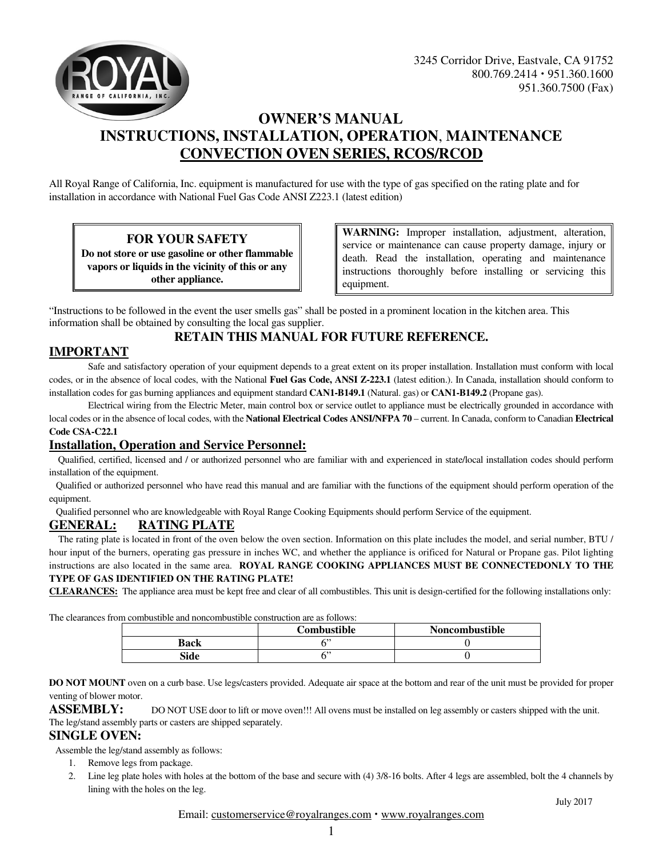



# **OWNER'S MANUAL INSTRUCTIONS, INSTALLATION, OPERATION**, **MAINTENANCE CONVECTION OVEN SERIES, RCOS/RCOD**

All Royal Range of California, Inc. equipment is manufactured for use with the type of gas specified on the rating plate and for installation in accordance with National Fuel Gas Code ANSI Z223.1 (latest edition)

## **FOR YOUR SAFETY**

**Do not store or use gasoline or other flammable vapors or liquids in the vicinity of this or any other appliance.**

**WARNING:** Improper installation, adjustment, alteration, service or maintenance can cause property damage, injury or death. Read the installation, operating and maintenance instructions thoroughly before installing or servicing this equipment.

"Instructions to be followed in the event the user smells gas" shall be posted in a prominent location in the kitchen area. This information shall be obtained by consulting the local gas supplier.

## **RETAIN THIS MANUAL FOR FUTURE REFERENCE.**

## **IMPORTANT**

Safe and satisfactory operation of your equipment depends to a great extent on its proper installation. Installation must conform with local codes, or in the absence of local codes, with the National **Fuel Gas Code, ANSI Z-223.1** (latest edition.). In Canada, installation should conform to installation codes for gas burning appliances and equipment standard **CAN1-B149.1** (Natural. gas) or **CAN1-B149.2** (Propane gas).

 Electrical wiring from the Electric Meter, main control box or service outlet to appliance must be electrically grounded in accordance with local codes or in the absence of local codes, with the **National Electrical Codes ANSI/NFPA 70** – current. In Canada, conform to Canadian Electrical **Code CSA-C22.1**

## **Installation, Operation and Service Personnel:**

 Qualified, certified, licensed and / or authorized personnel who are familiar with and experienced in state/local installation codes should perform installation of the equipment.

 Qualified or authorized personnel who have read this manual and are familiar with the functions of the equipment should perform operation of the equipment.

Qualified personnel who are knowledgeable with Royal Range Cooking Equipments should perform Service of the equipment.

#### **GENERAL: RATING PLATE**

 The rating plate is located in front of the oven below the oven section. Information on this plate includes the model, and serial number, BTU / hour input of the burners, operating gas pressure in inches WC, and whether the appliance is orificed for Natural or Propane gas. Pilot lighting instructions are also located in the same area. **ROYAL RANGE COOKING APPLIANCES MUST BE CONNECTEDONLY TO THE TYPE OF GAS IDENTIFIED ON THE RATING PLATE!** 

**CLEARANCES:** The appliance area must be kept free and clear of all combustibles. This unit is design-certified for the following installations only:

The clearances from combustible and noncombustible construction are as follows:

|      | Combustible | <b>Noncombustible</b> |
|------|-------------|-----------------------|
| Back |             |                       |
| Side | c»          |                       |

**DO NOT MOUNT** oven on a curb base. Use legs/casters provided. Adequate air space at the bottom and rear of the unit must be provided for proper venting of blower motor.

#### **ASSEMBLY:** DO NOT USE door to lift or move oven!!! All ovens must be installed on leg assembly or casters shipped with the unit. The leg/stand assembly parts or casters are shipped separately.

#### **SINGLE OVEN:**

Assemble the leg/stand assembly as follows:

- 1. Remove legs from package.
- 2. Line leg plate holes with holes at the bottom of the base and secure with (4) 3/8-16 bolts. After 4 legs are assembled, bolt the 4 channels by lining with the holes on the leg.

 July 2017 Email: customerservice@royalranges.com • www.royalranges.com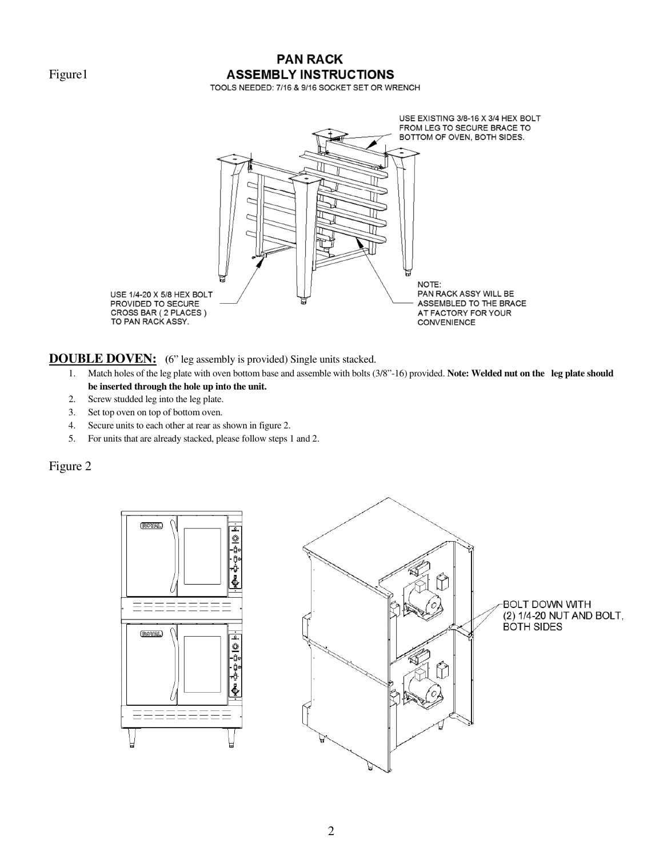Figure1

# **PAN RACK ASSEMBLY INSTRUCTIONS**

TOOLS NEEDED: 7/16 & 9/16 SOCKET SET OR WRENCH



**DOUBLE DOVEN:** (6" leg assembly is provided) Single units stacked.

- 1. Match holes of the leg plate with oven bottom base and assemble with bolts (3/8"-16) provided. **Note: Welded nut on the leg plate should be inserted through the hole up into the unit.**
- 2. Screw studded leg into the leg plate.
- 3. Set top oven on top of bottom oven.
- 4. Secure units to each other at rear as shown in figure 2.
- 5. For units that are already stacked, please follow steps 1 and 2.

Figure 2





BOLT DOWN WITH (2) 1/4-20 NUT AND BOLT, **BOTH SIDES**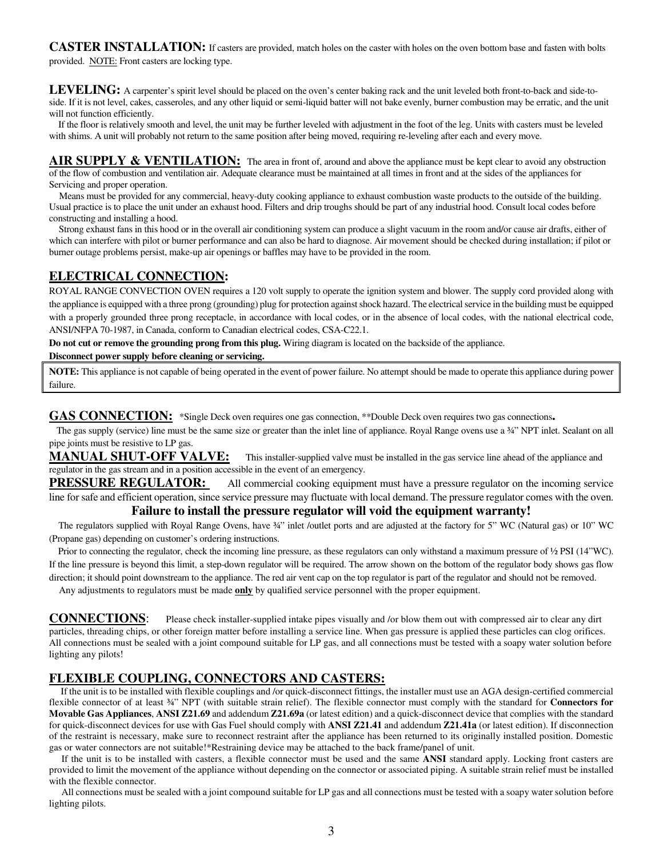**CASTER INSTALLATION:** If casters are provided, match holes on the caster with holes on the oven bottom base and fasten with bolts provided.NOTE: Front casters are locking type.

**LEVELING:** A carpenter's spirit level should be placed on the oven's center baking rack and the unit leveled both front-to-back and side-toside. If it is not level, cakes, casseroles, and any other liquid or semi-liquid batter will not bake evenly, burner combustion may be erratic, and the unit will not function efficiently.

 If the floor is relatively smooth and level, the unit may be further leveled with adjustment in the foot of the leg. Units with casters must be leveled with shims. A unit will probably not return to the same position after being moved, requiring re-leveling after each and every move.

AIR SUPPLY & VENTILATION: The area in front of, around and above the appliance must be kept clear to avoid any obstruction of the flow of combustion and ventilation air. Adequate clearance must be maintained at all times in front and at the sides of the appliances for Servicing and proper operation.

 Means must be provided for any commercial, heavy-duty cooking appliance to exhaust combustion waste products to the outside of the building. Usual practice is to place the unit under an exhaust hood. Filters and drip troughs should be part of any industrial hood. Consult local codes before constructing and installing a hood.

 Strong exhaust fans in this hood or in the overall air conditioning system can produce a slight vacuum in the room and/or cause air drafts, either of which can interfere with pilot or burner performance and can also be hard to diagnose. Air movement should be checked during installation; if pilot or burner outage problems persist, make-up air openings or baffles may have to be provided in the room.

## **ELECTRICAL CONNECTION:**

ROYAL RANGE CONVECTION OVEN requires a 120 volt supply to operate the ignition system and blower. The supply cord provided along with the appliance is equipped with a three prong (grounding) plug for protection against shock hazard. The electrical service in the building must be equipped with a properly grounded three prong receptacle, in accordance with local codes, or in the absence of local codes, with the national electrical code, ANSI/NFPA 70-1987, in Canada, conform to Canadian electrical codes, CSA-C22.1.

**Do not cut or remove the grounding prong from this plug.** Wiring diagram is located on the backside of the appliance.

#### **Disconnect power supply before cleaning or servicing.**

**NOTE:** This appliance is not capable of being operated in the event of power failure. No attempt should be made to operate this appliance during power failure.

GAS CONNECTION: \*Single Deck oven requires one gas connection, \*\*Double Deck oven requires two gas connections.

The gas supply (service) line must be the same size or greater than the inlet line of appliance. Royal Range ovens use a 34" NPT inlet. Sealant on all pipe joints must be resistive to LP gas.

**MANUAL SHUT-OFF VALVE:** This installer-supplied valve must be installed in the gas service line ahead of the appliance and regulator in the gas stream and in a position accessible in the event of an emergency.

**PRESSURE REGULATOR:** All commercial cooking equipment must have a pressure regulator on the incoming service line for safe and efficient operation, since service pressure may fluctuate with local demand. The pressure regulator comes with the oven.

#### **Failure to install the pressure regulator will void the equipment warranty!**

The regulators supplied with Royal Range Ovens, have 34" inlet /outlet ports and are adjusted at the factory for 5" WC (Natural gas) or 10" WC (Propane gas) depending on customer's ordering instructions.

Prior to connecting the regulator, check the incoming line pressure, as these regulators can only withstand a maximum pressure of  $\frac{1}{2}$  PSI (14"WC). If the line pressure is beyond this limit, a step-down regulator will be required. The arrow shown on the bottom of the regulator body shows gas flow direction; it should point downstream to the appliance. The red air vent cap on the top regulator is part of the regulator and should not be removed.

Any adjustments to regulators must be made **only** by qualified service personnel with the proper equipment.

**CONNECTIONS**: Please check installer-supplied intake pipes visually and /or blow them out with compressed air to clear any dirt particles, threading chips, or other foreign matter before installing a service line. When gas pressure is applied these particles can clog orifices. All connections must be sealed with a joint compound suitable for LP gas, and all connections must be tested with a soapy water solution before lighting any pilots!

## **FLEXIBLE COUPLING, CONNECTORS AND CASTERS:**

 If the unit is to be installed with flexible couplings and /or quick-disconnect fittings, the installer must use an AGA design-certified commercial flexible connector of at least ¾" NPT (with suitable strain relief). The flexible connector must comply with the standard for **Connectors for Movable Gas Appliances**, **ANSI Z21.69** and addendum **Z21.69a** (or latest edition) and a quick-disconnect device that complies with the standard for quick-disconnect devices for use with Gas Fuel should comply with **ANSI Z21.41** and addendum **Z21.41a** (or latest edition). If disconnection of the restraint is necessary, make sure to reconnect restraint after the appliance has been returned to its originally installed position. Domestic gas or water connectors are not suitable!\*Restraining device may be attached to the back frame/panel of unit.

 If the unit is to be installed with casters, a flexible connector must be used and the same **ANSI** standard apply. Locking front casters are provided to limit the movement of the appliance without depending on the connector or associated piping. A suitable strain relief must be installed with the flexible connector.

 All connections must be sealed with a joint compound suitable for LP gas and all connections must be tested with a soapy water solution before lighting pilots.